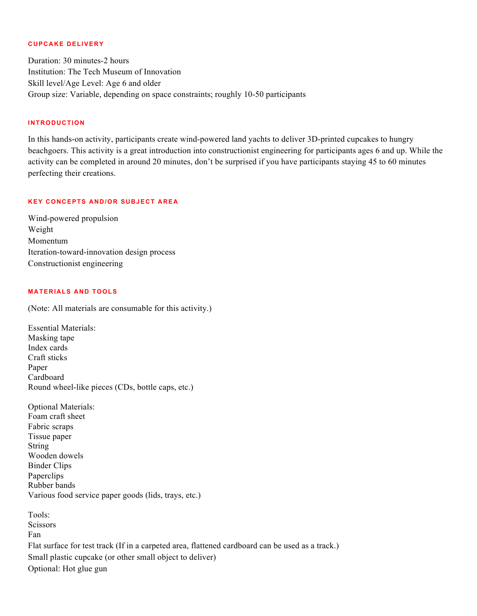#### **CUPCAKE DELIVERY**

Duration: 30 minutes-2 hours Institution: The Tech Museum of Innovation Skill level/Age Level: Age 6 and older Group size: Variable, depending on space constraints; roughly 10-50 participants

#### **INTRODUCTION**

In this hands-on activity, participants create wind-powered land yachts to deliver 3D-printed cupcakes to hungry beachgoers. This activity is a great introduction into constructionist engineering for participants ages 6 and up. While the activity can be completed in around 20 minutes, don't be surprised if you have participants staying 45 to 60 minutes perfecting their creations.

#### **KEY CONCEPTS AND/OR SUBJECT AREA**

Wind-powered propulsion Weight Momentum Iteration-toward-innovation design process Constructionist engineering

# **MATERIALS AND TOOLS**

(Note: All materials are consumable for this activity.)

Essential Materials: Masking tape Index cards Craft sticks Paper Cardboard Round wheel-like pieces (CDs, bottle caps, etc.)

Optional Materials: Foam craft sheet Fabric scraps Tissue paper String Wooden dowels Binder Clips Paperclips Rubber bands Various food service paper goods (lids, trays, etc.)

Tools: **Scissors** Fan Flat surface for test track (If in a carpeted area, flattened cardboard can be used as a track.) Small plastic cupcake (or other small object to deliver) Optional: Hot glue gun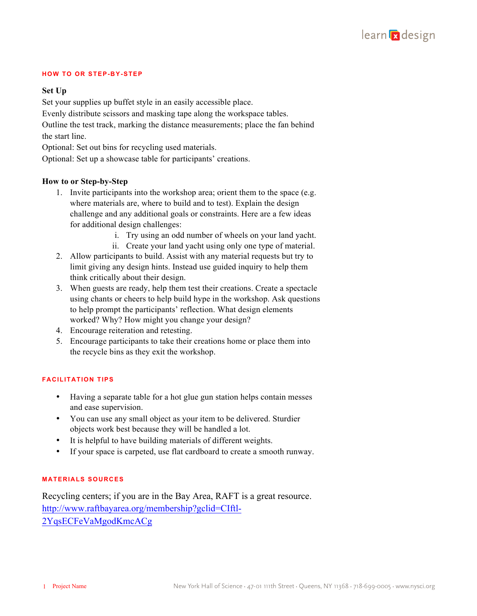

#### **HOW TO OR STEP-BY-STEP**

## **Set Up**

Set your supplies up buffet style in an easily accessible place.

Evenly distribute scissors and masking tape along the workspace tables.

Outline the test track, marking the distance measurements; place the fan behind the start line.

Optional: Set out bins for recycling used materials.

Optional: Set up a showcase table for participants' creations.

## **How to or Step-by-Step**

- 1. Invite participants into the workshop area; orient them to the space (e.g. where materials are, where to build and to test). Explain the design challenge and any additional goals or constraints. Here are a few ideas for additional design challenges:
	- i. Try using an odd number of wheels on your land yacht.
	- ii. Create your land yacht using only one type of material.
- 2. Allow participants to build. Assist with any material requests but try to limit giving any design hints. Instead use guided inquiry to help them think critically about their design.
- 3. When guests are ready, help them test their creations. Create a spectacle using chants or cheers to help build hype in the workshop. Ask questions to help prompt the participants' reflection. What design elements worked? Why? How might you change your design?
- 4. Encourage reiteration and retesting.
- 5. Encourage participants to take their creations home or place them into the recycle bins as they exit the workshop.

### **FACILITATION TIPS**

- Having a separate table for a hot glue gun station helps contain messes and ease supervision.
- You can use any small object as your item to be delivered. Sturdier objects work best because they will be handled a lot.
- It is helpful to have building materials of different weights.
- If your space is carpeted, use flat cardboard to create a smooth runway.

## **MATERIALS SOURCES**

Recycling centers; if you are in the Bay Area, RAFT is a great resource. http://www.raftbayarea.org/membership?gclid=CIftl-2YqsECFeVaMgodKmcACg